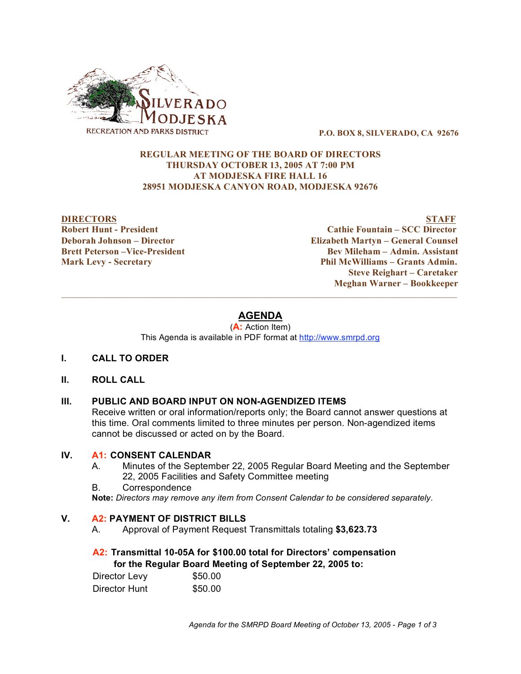

**P.O. BOX 8, SILVERADO, CA 92676**

#### **REGULAR MEETING OF THE BOARD OF DIRECTORS THURSDAY OCTOBER 13, 2005 AT 7:00 PM AT MODJESKA FIRE HALL 16 28951 MODJESKA CANYON ROAD, MODJESKA 92676**

**DIRECTORS STAFF Robert Hunt - President Cathie Fountain – SCC Director Deborah Johnson – Director Elizabeth Martyn – General Counsel Brett Peterson –Vice-President Bev Mileham – Admin. Assistant Mark Levy - Secretary Phil McWilliams – Grants Admin. Steve Reighart – Caretaker Meghan Warner – Bookkeeper**

# **AGENDA**

 $\mathcal{L}_\mathcal{L} = \{ \mathcal{L}_\mathcal{L} = \{ \mathcal{L}_\mathcal{L} = \{ \mathcal{L}_\mathcal{L} = \{ \mathcal{L}_\mathcal{L} = \{ \mathcal{L}_\mathcal{L} = \{ \mathcal{L}_\mathcal{L} = \{ \mathcal{L}_\mathcal{L} = \{ \mathcal{L}_\mathcal{L} = \{ \mathcal{L}_\mathcal{L} = \{ \mathcal{L}_\mathcal{L} = \{ \mathcal{L}_\mathcal{L} = \{ \mathcal{L}_\mathcal{L} = \{ \mathcal{L}_\mathcal{L} = \{ \mathcal{L}_\mathcal{$ 

(**A:** Action Item) This Agenda is available in PDF format at http://www.smrpd.org

- **I. CALL TO ORDER**
- **II. ROLL CALL**

## **III. PUBLIC AND BOARD INPUT ON NON-AGENDIZED ITEMS**

Receive written or oral information/reports only; the Board cannot answer questions at this time. Oral comments limited to three minutes per person. Non-agendized items cannot be discussed or acted on by the Board.

## **IV. A1: CONSENT CALENDAR**

- A. Minutes of the September 22, 2005 Regular Board Meeting and the September 22, 2005 Facilities and Safety Committee meeting
- B. Correspondence

**Note:** *Directors may remove any item from Consent Calendar to be considered separately.*

## **V. A2: PAYMENT OF DISTRICT BILLS**

A. Approval of Payment Request Transmittals totaling **\$3,623.73**

## **A2: Transmittal 10-05A for \$100.00 total for Directors' compensation for the Regular Board Meeting of September 22, 2005 to:**

| Director Levy | \$50.00 |
|---------------|---------|
| Director Hunt | \$50.00 |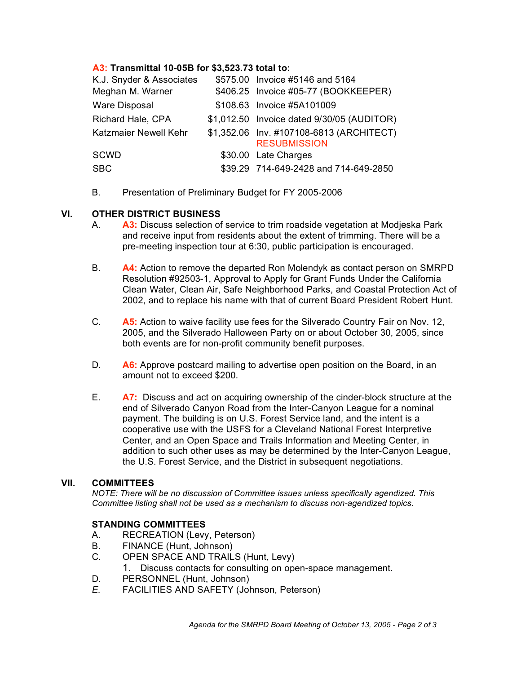## **A3: Transmittal 10-05B for \$3,523.73 total to:**

| K.J. Snyder & Associates | \$575.00 Invoice #5146 and 5164                                 |
|--------------------------|-----------------------------------------------------------------|
| Meghan M. Warner         | \$406.25 Invoice #05-77 (BOOKKEEPER)                            |
| <b>Ware Disposal</b>     | \$108.63 Invoice #5A101009                                      |
| Richard Hale, CPA        | \$1,012.50 Invoice dated 9/30/05 (AUDITOR)                      |
| Katzmaier Newell Kehr    | \$1,352.06 Inv. #107108-6813 (ARCHITECT)<br><b>RESUBMISSION</b> |
| SCWD                     | \$30.00 Late Charges                                            |
| <b>SBC</b>               | \$39.29 714-649-2428 and 714-649-2850                           |

B. Presentation of Preliminary Budget for FY 2005-2006

#### **VI. OTHER DISTRICT BUSINESS**

- A. **A3:** Discuss selection of service to trim roadside vegetation at Modjeska Park and receive input from residents about the extent of trimming. There will be a pre-meeting inspection tour at 6:30, public participation is encouraged.
- B. **A4:** Action to remove the departed Ron Molendyk as contact person on SMRPD Resolution #92503-1, Approval to Apply for Grant Funds Under the California Clean Water, Clean Air, Safe Neighborhood Parks, and Coastal Protection Act of 2002, and to replace his name with that of current Board President Robert Hunt.
- C. **A5:** Action to waive facility use fees for the Silverado Country Fair on Nov. 12, 2005, and the Silverado Halloween Party on or about October 30, 2005, since both events are for non-profit community benefit purposes.
- D. **A6:** Approve postcard mailing to advertise open position on the Board, in an amount not to exceed \$200.
- E. **A7:** Discuss and act on acquiring ownership of the cinder-block structure at the end of Silverado Canyon Road from the Inter-Canyon League for a nominal payment. The building is on U.S. Forest Service land, and the intent is a cooperative use with the USFS for a Cleveland National Forest Interpretive Center, and an Open Space and Trails Information and Meeting Center, in addition to such other uses as may be determined by the Inter-Canyon League, the U.S. Forest Service, and the District in subsequent negotiations.

#### **VII. COMMITTEES**

*NOTE: There will be no discussion of Committee issues unless specifically agendized. This Committee listing shall not be used as a mechanism to discuss non-agendized topics.*

## **STANDING COMMITTEES**

- A. RECREATION (Levy, Peterson)
- B. FINANCE (Hunt, Johnson)
- C. OPEN SPACE AND TRAILS (Hunt, Levy)
	- 1. Discuss contacts for consulting on open-space management.
- D. PERSONNEL (Hunt, Johnson)
- *E.* FACILITIES AND SAFETY (Johnson, Peterson)